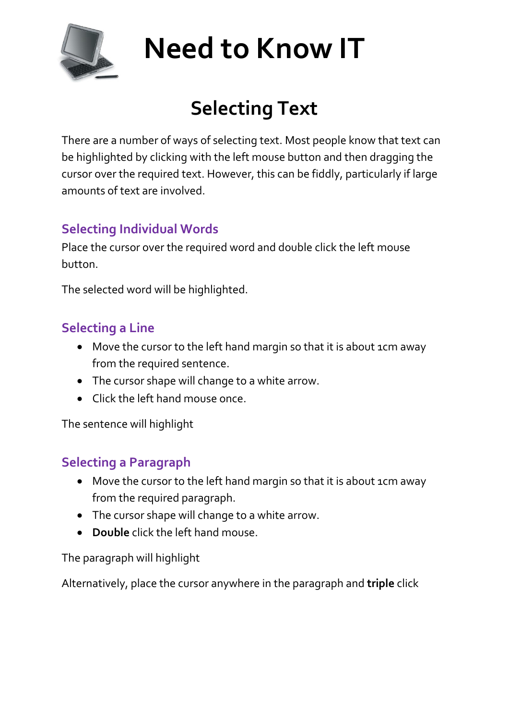

# **Need to Know IT**

# **Selecting Text**

There are a number of ways of selecting text. Most people know that text can be highlighted by clicking with the left mouse button and then dragging the cursor over the required text. However, this can be fiddly, particularly if large amounts of text are involved.

## **Selecting Individual Words**

Place the cursor over the required word and double click the left mouse button.

The selected word will be highlighted.

### **Selecting a Line**

- Move the cursor to the left hand margin so that it is about 1cm away from the required sentence.
- The cursor shape will change to a white arrow.
- Click the left hand mouse once.

The sentence will highlight

#### **Selecting a Paragraph**

- Move the cursor to the left hand margin so that it is about 1cm away from the required paragraph.
- The cursor shape will change to a white arrow.
- **Double** click the left hand mouse.

The paragraph will highlight

Alternatively, place the cursor anywhere in the paragraph and **triple** click